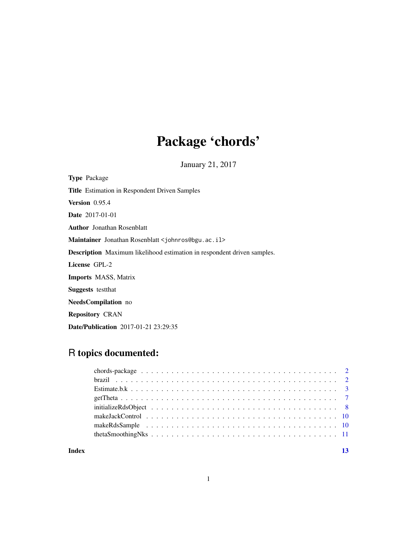# Package 'chords'

January 21, 2017

Type Package Title Estimation in Respondent Driven Samples Version 0.95.4 Date 2017-01-01 Author Jonathan Rosenblatt Maintainer Jonathan Rosenblatt <johnros@bgu.ac.il> Description Maximum likelihood estimation in respondent driven samples. License GPL-2 Imports MASS, Matrix Suggests testthat NeedsCompilation no Repository CRAN Date/Publication 2017-01-21 23:29:35

# R topics documented:

| Index |  |
|-------|--|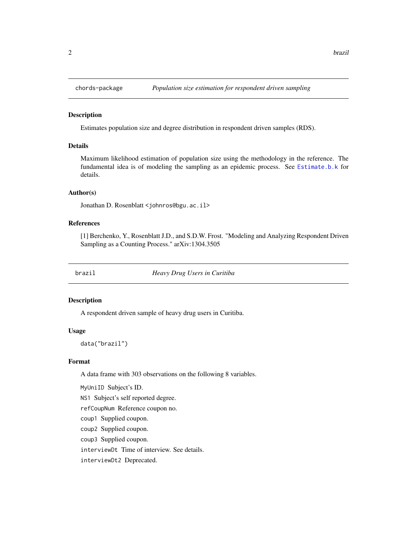<span id="page-1-0"></span>

# Description

Estimates population size and degree distribution in respondent driven samples (RDS).

# Details

Maximum likelihood estimation of population size using the methodology in the reference. The fundamental idea is of modeling the sampling as an epidemic process. See [Estimate.b.k](#page-2-1) for details.

#### Author(s)

Jonathan D. Rosenblatt <johnros@bgu.ac.il>

#### References

[1] Berchenko, Y., Rosenblatt J.D., and S.D.W. Frost. "Modeling and Analyzing Respondent Driven Sampling as a Counting Process." arXiv:1304.3505

<span id="page-1-1"></span>brazil *Heavy Drug Users in Curitiba*

#### Description

A respondent driven sample of heavy drug users in Curitiba.

#### Usage

data("brazil")

#### Format

A data frame with 303 observations on the following 8 variables.

MyUniID Subject's ID.

NS1 Subject's self reported degree.

refCoupNum Reference coupon no.

coup1 Supplied coupon.

coup2 Supplied coupon.

coup3 Supplied coupon.

interviewDt Time of interview. See details.

interviewDt2 Deprecated.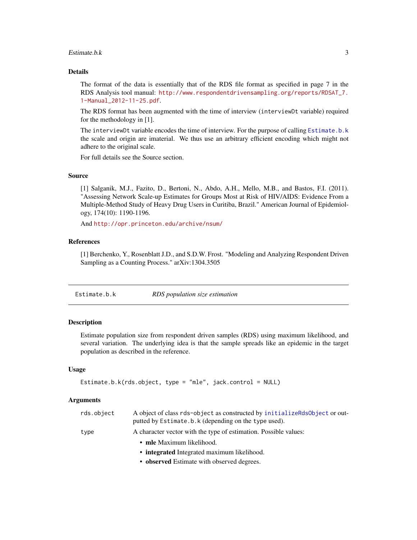#### <span id="page-2-0"></span> $Estimate.b.k$  3

# Details

The format of the data is essentially that of the RDS file format as specified in page 7 in the RDS Analysis tool manual: [http://www.respondentdrivensampling.org/reports/RDSAT\\_7.](http://www.respondentdrivensampling.org/reports/RDSAT_7.1-Manual_2012-11-25.pdf) [1-Manual\\_2012-11-25.pdf](http://www.respondentdrivensampling.org/reports/RDSAT_7.1-Manual_2012-11-25.pdf).

The RDS format has been augmented with the time of interview (interviewDt variable) required for the methodology in [1].

The interviewDt variable encodes the time of interview. For the purpose of calling [Estimate.b.k](#page-2-1) the scale and origin are imaterial. We thus use an arbitrary efficient encoding which might not adhere to the original scale.

For full details see the Source section.

# Source

[1] Salganik, M.J., Fazito, D., Bertoni, N., Abdo, A.H., Mello, M.B., and Bastos, F.I. (2011). "Assessing Network Scale-up Estimates for Groups Most at Risk of HIV/AIDS: Evidence From a Multiple-Method Study of Heavy Drug Users in Curitiba, Brazil." American Journal of Epidemiology, 174(10): 1190-1196.

And <http://opr.princeton.edu/archive/nsum/>

# References

[1] Berchenko, Y., Rosenblatt J.D., and S.D.W. Frost. "Modeling and Analyzing Respondent Driven Sampling as a Counting Process." arXiv:1304.3505

<span id="page-2-1"></span>Estimate.b.k *RDS population size estimation*

# **Description**

Estimate population size from respondent driven samples (RDS) using maximum likelihood, and several variation. The underlying idea is that the sample spreads like an epidemic in the target population as described in the reference.

#### Usage

```
Estimate.b.k(rds.object, type = "mle", jack.control = NULL)
```

| rds.object | A object of class rds-object as constructed by initializeRds0bject or out-<br>putted by Estimate.b.k (depending on the type used). |
|------------|------------------------------------------------------------------------------------------------------------------------------------|
| type       | A character vector with the type of estimation. Possible values:                                                                   |
|            | • mle Maximum likelihood.                                                                                                          |
|            | • integrated Integrated maximum likelihood.                                                                                        |
|            | • observed Estimate with observed degrees.                                                                                         |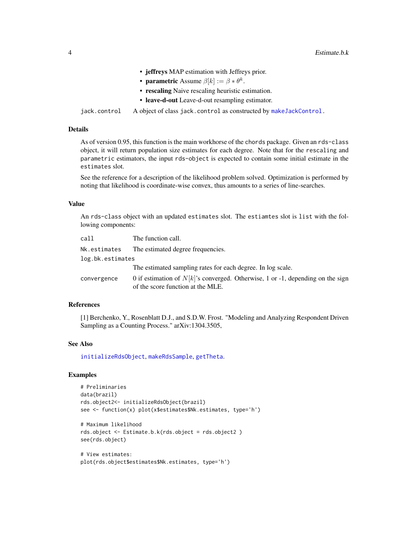- jeffreys MAP estimation with Jeffreys prior.
- parametric Assume  $\beta[k] := \beta * \theta^k$ .
- rescaling Naive rescaling heuristic estimation.
- leave-d-out Leave-d-out resampling estimator.

<span id="page-3-0"></span>jack.control A object of class jack.control as constructed by [makeJackControl.](#page-9-1)

# Details

As of version 0.95, this function is the main workhorse of the chords package. Given an rds-class object, it will return population size estimates for each degree. Note that for the rescaling and parametric estimators, the input rds-object is expected to contain some initial estimate in the estimates slot.

See the reference for a description of the likelihood problem solved. Optimization is performed by noting that likelihood is coordinate-wise convex, thus amounts to a series of line-searches.

# Value

An rds-class object with an updated estimates slot. The estiamtes slot is list with the following components:

| call             | The function call.                                                                                                     |  |
|------------------|------------------------------------------------------------------------------------------------------------------------|--|
| Nk.estimates     | The estimated degree frequencies.                                                                                      |  |
| log.bk.estimates |                                                                                                                        |  |
|                  | The estimated sampling rates for each degree. In log scale.                                                            |  |
| convergence      | 0 if estimation of $N[k]$ 's converged. Otherwise, 1 or -1, depending on the sign<br>of the score function at the MLE. |  |

# References

[1] Berchenko, Y., Rosenblatt D.J., and S.D.W. Frost. "Modeling and Analyzing Respondent Driven Sampling as a Counting Process." arXiv:1304.3505,

#### See Also

[initializeRdsObject](#page-7-1), [makeRdsSample](#page-9-2), [getTheta](#page-6-1).

# Examples

```
# Preliminaries
data(brazil)
rds.object2<- initializeRdsObject(brazil)
see <- function(x) plot(x$estimates$Nk.estimates, type='h')
```

```
# Maximum likelihood
rds.object <- Estimate.b.k(rds.object = rds.object2 )
see(rds.object)
```

```
# View estimates:
plot(rds.object$estimates$Nk.estimates, type='h')
```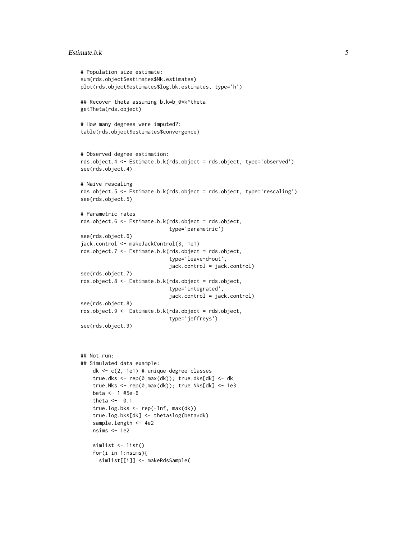#### $Estimate.b.k$  5

```
# Population size estimate:
sum(rds.object$estimates$Nk.estimates)
plot(rds.object$estimates$log.bk.estimates, type='h')
## Recover theta assuming b.k=b_0*k^theta
getTheta(rds.object)
# How many degrees were imputed?:
table(rds.object$estimates$convergence)
# Observed degree estimation:
rds.object.4 <- Estimate.b.k(rds.object = rds.object, type='observed')
see(rds.object.4)
# Naive rescaling
rds.object.5 <- Estimate.b.k(rds.object = rds.object, type='rescaling')
see(rds.object.5)
# Parametric rates
rds.object.6 <- Estimate.b.k(rds.object = rds.object,
                            type='parametric')
see(rds.object.6)
jack.control <- makeJackControl(3, 1e1)
rds.object.7 <- Estimate.b.k(rds.object = rds.object,
                             type='leave-d-out',
                             jack.control = jack.control)
see(rds.object.7)
rds.object.8 <- Estimate.b.k(rds.object = rds.object,
                             type='integrated',
                             jack.control = jack.control)
see(rds.object.8)
rds.object.9 <- Estimate.b.k(rds.object = rds.object,
                             type='jeffreys')
see(rds.object.9)
## Not run:
## Simulated data example:
   dk <- c(2, 1e1) # unique degree classes
   true.dks <- rep(0,max(dk)); true.dks[dk] <- dk
   true.Nks <- rep(0,max(dk)); true.Nks[dk] <- 1e3
   beta <- 1 #5e-6
   theta <- 0.1
   true.log.bks <- rep(-Inf, max(dk))
    true.log.bks[dk] <- theta*log(beta*dk)
   sample.length <- 4e2
   nsims <-1e2simlist <- list()
    for(i in 1:nsims){
     simlist[[i]] <- makeRdsSample(
```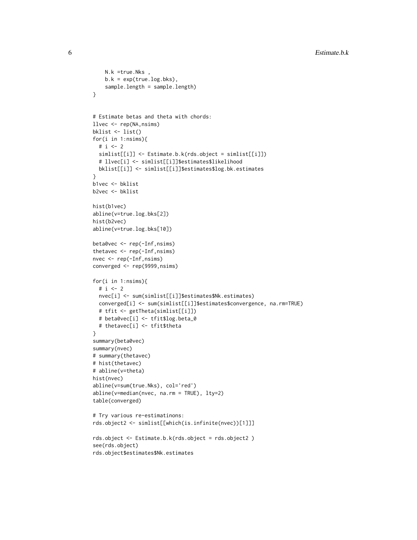```
N.k =true.Nks ,
    b.k = exp(true.log.bks),
    sample.length = sample.length)
}
# Estimate betas and theta with chords:
llvec <- rep(NA,nsims)
bklist <- list()
for(i in 1:nsims){
  # i <- 2
  simlist[[i]] <- Estimate.b.k(rds.object = simlist[[i]])
  # llvec[i] <- simlist[[i]]$estimates$likelihood
  bklist[[i]] <- simlist[[i]]$estimates$log.bk.estimates
}
b1vec <- bklist
b2vec <- bklist
hist(b1vec)
abline(v=true.log.bks[2])
hist(b2vec)
abline(v=true.log.bks[10])
beta0vec <- rep(-Inf,nsims)
thetavec <- rep(-Inf,nsims)
nvec <- rep(-Inf,nsims)
converged <- rep(9999,nsims)
for(i in 1:nsims){
  # i \le -2nvec[i] <- sum(simlist[[i]]$estimates$Nk.estimates)
  converged[i] <- sum(simlist[[i]]$estimates$convergence, na.rm=TRUE)
  # tfit <- getTheta(simlist[[i]])
  # beta0vec[i] <- tfit$log.beta_0
  # thetavec[i] <- tfit$theta
}
summary(beta0vec)
summary(nvec)
# summary(thetavec)
# hist(thetavec)
# abline(v=theta)
hist(nvec)
abline(v=sum(true.Nks), col='red')
abline(v=median(nvec, na.rm = TRUE), lty=2)
table(converged)
# Try various re-estimatinons:
rds.object2 <- simlist[[which(is.infinite(nvec))[1]]]
rds.object <- Estimate.b.k(rds.object = rds.object2 )
see(rds.object)
rds.object$estimates$Nk.estimates
```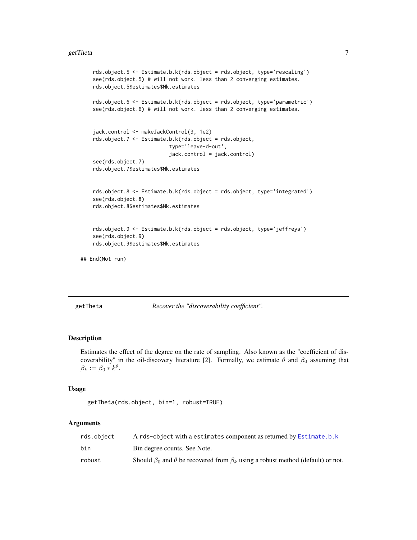#### <span id="page-6-0"></span>getTheta 7

```
rds.object.5 <- Estimate.b.k(rds.object = rds.object, type='rescaling')
   see(rds.object.5) # will not work. less than 2 converging estimates.
   rds.object.5$estimates$Nk.estimates
   rds.object.6 <- Estimate.b.k(rds.object = rds.object, type='parametric')
   see(rds.object.6) # will not work. less than 2 converging estimates.
   jack.control <- makeJackControl(3, 1e2)
   rds.object.7 <- Estimate.b.k(rds.object = rds.object,
                             type='leave-d-out',
                             jack.control = jack.control)
   see(rds.object.7)
   rds.object.7$estimates$Nk.estimates
   rds.object.8 <- Estimate.b.k(rds.object = rds.object, type='integrated')
   see(rds.object.8)
   rds.object.8$estimates$Nk.estimates
   rds.object.9 <- Estimate.b.k(rds.object = rds.object, type='jeffreys')
   see(rds.object.9)
   rds.object.9$estimates$Nk.estimates
## End(Not run)
```
<span id="page-6-1"></span>getTheta *Recover the "discoverability coefficient".*

#### Description

Estimates the effect of the degree on the rate of sampling. Also known as the "coefficient of discoverability" in the oil-discovery literature [2]. Formally, we estimate  $\theta$  and  $\beta_0$  assuming that  $\beta_k := \beta_0 * k^{\theta}.$ 

#### Usage

```
getTheta(rds.object, bin=1, robust=TRUE)
```

| rds.obiect | A rds-object with a estimates component as returned by Estimate.b.k                               |
|------------|---------------------------------------------------------------------------------------------------|
| bin        | Bin degree counts. See Note.                                                                      |
| robust     | Should $\beta_0$ and $\theta$ be recovered from $\beta_k$ using a robust method (default) or not. |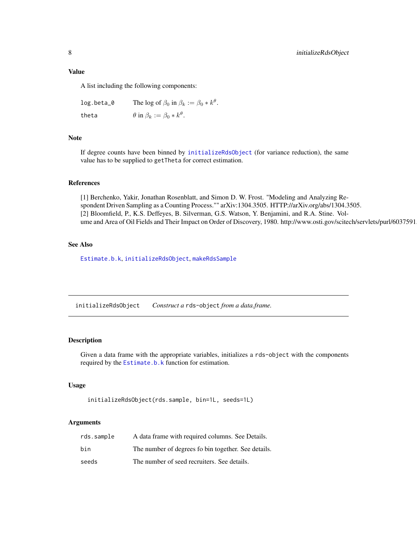# <span id="page-7-0"></span>Value

A list including the following components:

 $\log.\textsf{beta\_0} \qquad \text{The log of } \beta_0 \text{ in } \beta_k := \beta_0 * k^\theta.$ theta  $\theta$  in  $\beta_k := \beta_0 * k^{\theta}$ .

#### Note

If degree counts have been binned by [initializeRdsObject](#page-7-1) (for variance reduction), the same value has to be supplied to getTheta for correct estimation.

#### References

[1] Berchenko, Yakir, Jonathan Rosenblatt, and Simon D. W. Frost. "Modeling and Analyzing Respondent Driven Sampling as a Counting Process."" arXiv:1304.3505. HTTP://arXiv.org/abs/1304.3505. [2] Bloomfield, P., K.S. Deffeyes, B. Silverman, G.S. Watson, Y. Benjamini, and R.A. Stine. Volume and Area of Oil Fields and Their Impact on Order of Discovery, 1980. http://www.osti.gov/scitech/servlets/purl/6037591.

# See Also

[Estimate.b.k](#page-2-1), [initializeRdsObject](#page-7-1), [makeRdsSample](#page-9-2)

<span id="page-7-1"></span>initializeRdsObject *Construct a* rds-object *from a data.frame.*

#### Description

Given a data frame with the appropriate variables, initializes a rds-object with the components required by the [Estimate.b.k](#page-2-1) function for estimation.

# Usage

```
initializeRdsObject(rds.sample, bin=1L, seeds=1L)
```

| rds.sample | A data frame with required columns. See Details.    |
|------------|-----------------------------------------------------|
| bin        | The number of degrees fo bin together. See details. |
| seeds      | The number of seed recruiters. See details.         |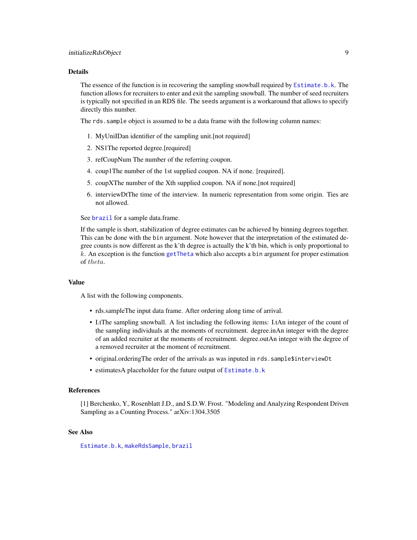#### <span id="page-8-0"></span>Details

The essence of the function is in recovering the sampling snowball required by [Estimate.b.k](#page-2-1). The function allows for recruiters to enter and exit the sampling snowball. The number of seed recruiters is typically not specified in an RDS file. The seeds argument is a workaround that allows to specify directly this number.

The rds.sample object is assumed to be a data frame with the following column names:

- 1. MyUniIDan identifier of the sampling unit.[not required]
- 2. NS1The reported degree.[required]
- 3. refCoupNum The number of the referring coupon.
- 4. coup1The number of the 1st supplied coupon. NA if none. [required].
- 5. coupXThe number of the Xth supplied coupon. NA if none.[not required]
- 6. interviewDtThe time of the interview. In numeric representation from some origin. Ties are not allowed.

See [brazil](#page-1-1) for a sample data.frame.

If the sample is short, stabilization of degree estimates can be achieved by binning degrees together. This can be done with the bin argument. Note however that the interpretation of the estimated degree counts is now different as the k'th degree is actually the k'th bin, which is only proportional to  $k$ . An exception is the function [getTheta](#page-6-1) which also accepts a bin argument for proper estimation of theta.

#### Value

A list with the following components.

- rds.sampleThe input data frame. After ordering along time of arrival.
- I.tThe sampling snowball. A list including the following items: I.tAn integer of the count of the sampling individuals at the moments of recruitment. degree.inAn integer with the degree of an added recruiter at the moments of recruitment. degree.outAn integer with the degree of a removed recruiter at the moment of recruitment.
- original.orderingThe order of the arrivals as was inputed in rds.sample\$interviewDt
- estimatesA placeholder for the future output of [Estimate.b.k](#page-2-1)

#### References

[1] Berchenko, Y., Rosenblatt J.D., and S.D.W. Frost. "Modeling and Analyzing Respondent Driven Sampling as a Counting Process." arXiv:1304.3505

#### See Also

[Estimate.b.k](#page-2-1), [makeRdsSample](#page-9-2), [brazil](#page-1-1)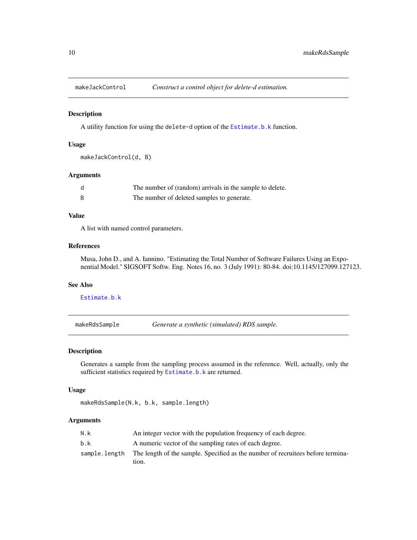<span id="page-9-1"></span><span id="page-9-0"></span>

#### Description

A utility function for using the delete-d option of the [Estimate.b.k](#page-2-1) function.

# Usage

makeJackControl(d, B)

# Arguments

|   | The number of (random) arrivals in the sample to delete. |
|---|----------------------------------------------------------|
| B | The number of deleted samples to generate.               |

# Value

A list with named control parameters.

#### References

Musa, John D., and A. Iannino. "Estimating the Total Number of Software Failures Using an Exponential Model." SIGSOFT Softw. Eng. Notes 16, no. 3 (July 1991): 80-84. doi:10.1145/127099.127123.

# See Also

[Estimate.b.k](#page-2-1)

<span id="page-9-2"></span>makeRdsSample *Generate a synthetic (simulated) RDS sample.*

#### Description

Generates a sample from the sampling process assumed in the reference. Well, actually, only the sufficient statistics required by [Estimate.b.k](#page-2-1) are returned.

# Usage

makeRdsSample(N.k, b.k, sample.length)

| N.k | An integer vector with the population frequency of each degree.                                |
|-----|------------------------------------------------------------------------------------------------|
| b.k | A numeric vector of the sampling rates of each degree.                                         |
|     | sample. length The length of the sample. Specified as the number of recruitees before termina- |
|     | tion.                                                                                          |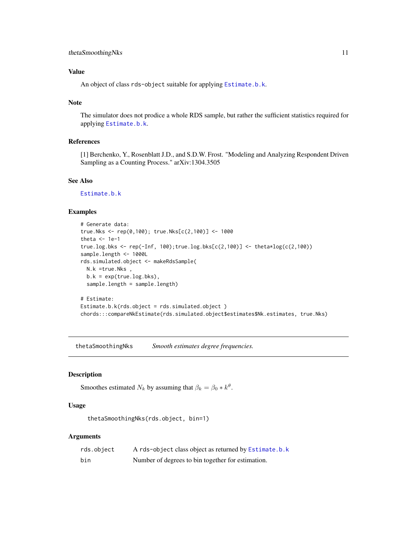# <span id="page-10-0"></span>thetaSmoothingNks 11

# Value

An object of class rds-object suitable for applying [Estimate.b.k](#page-2-1).

# Note

The simulator does not prodice a whole RDS sample, but rather the sufficient statistics required for applying [Estimate.b.k](#page-2-1).

# References

[1] Berchenko, Y., Rosenblatt J.D., and S.D.W. Frost. "Modeling and Analyzing Respondent Driven Sampling as a Counting Process." arXiv:1304.3505

# See Also

[Estimate.b.k](#page-2-1)

#### Examples

```
# Generate data:
true.Nks <- rep(0,100); true.Nks[c(2,100)] <- 1000
theta <- 1e-1
true.log.bks <- rep(-Inf, 100);true.log.bks[c(2,100)] <- theta*log(c(2,100))
sample.length <- 1000L
rds.simulated.object <- makeRdsSample(
  N.k =true.Nks ,
  b.k = exp(true.log.bks),
  sample.length = sample.length)
# Estimate:
Estimate.b.k(rds.object = rds.simulated.object )
chords:::compareNkEstimate(rds.simulated.object$estimates$Nk.estimates, true.Nks)
```
thetaSmoothingNks *Smooth estimates degree frequencies.*

# Description

Smoothes estimated  $N_k$  by assuming that  $\beta_k = \beta_0 * k^{\theta}$ .

# Usage

thetaSmoothingNks(rds.object, bin=1)

| rds.object | A rds-object class object as returned by Estimate.b.k |
|------------|-------------------------------------------------------|
| bin        | Number of degrees to bin together for estimation.     |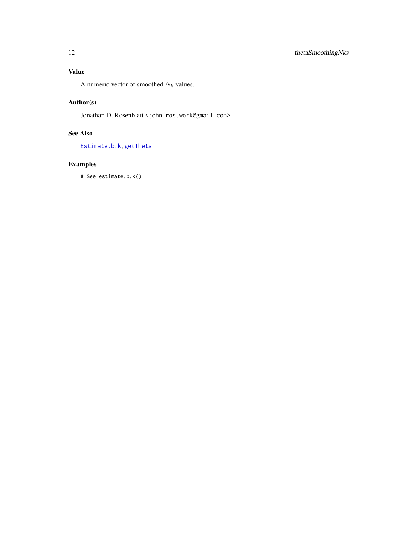# <span id="page-11-0"></span>Value

A numeric vector of smoothed  $N_k$  values.

# Author(s)

Jonathan D. Rosenblatt < john.ros.work@gmail.com>

# See Also

[Estimate.b.k](#page-2-1), [getTheta](#page-6-1)

# Examples

# See estimate.b.k()